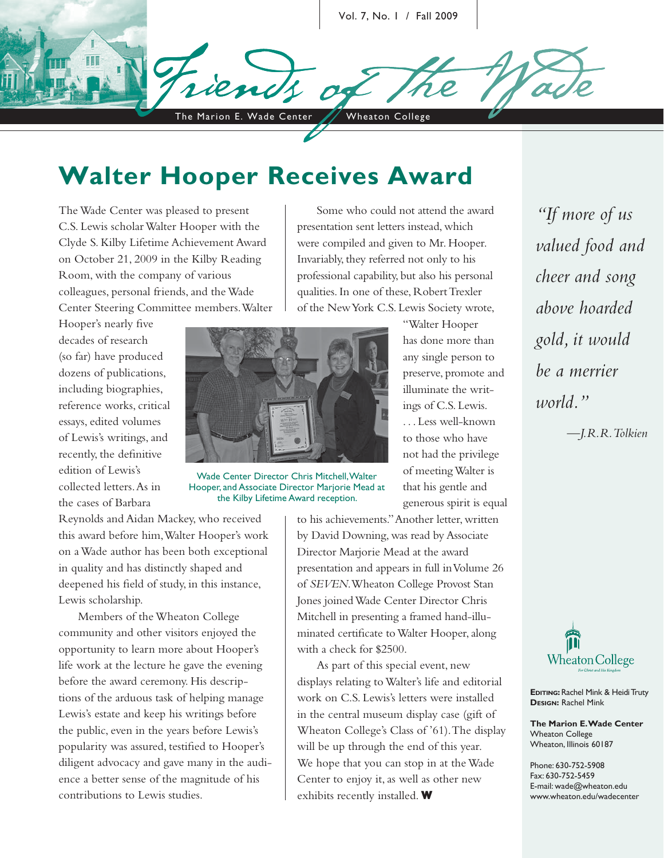Vol. 7, No. 1 / Fall 2009

The Marion E. Wade Center / Wheaton College

# **Walter Hooper Receives Award**

The Wade Center was pleased to present C.S. Lewis scholar Walter Hooper with the Clyde S. Kilby Lifetime Achievement Award on October 21, 2009 in the Kilby Reading Room, with the company of various colleagues, personal friends, and the Wade Center Steering Committee members. Walter

Hooper's nearly five decades of research (so far) have produced dozens of publications, including biographies, reference works, critical essays, edited volumes of Lewis's writings, and recently, the definitive edition of Lewis's collected letters. As in the cases of Barbara



Wade Center Director Chris Mitchell, Walter Hooper, and Associate Director Marjorie Mead at the Kilby Lifetime Award reception.

Reynolds and Aidan Mackey, who received this award before him, Walter Hooper's work on a Wade author has been both exceptional in quality and has distinctly shaped and deepened his field of study, in this instance, Lewis scholarship.

Members of the Wheaton College community and other visitors enjoyed the opportunity to learn more about Hooper's life work at the lecture he gave the evening before the award ceremony. His descriptions of the arduous task of helping manage Lewis's estate and keep his writings before the public, even in the years before Lewis's popularity was assured, testified to Hooper's diligent advocacy and gave many in the audience a better sense of the magnitude of his contributions to Lewis studies.

Some who could not attend the award presentation sent letters instead, which were compiled and given to Mr. Hooper. Invariably, they referred not only to his professional capability, but also his personal qualities. In one of these, Robert Trexler of the New York C.S. Lewis Society wrote,

> "Walter Hooper has done more than any single person to preserve, promote and illuminate the writings of C.S. Lewis. . . . Less well-known to those who have not had the privilege of meeting Walter is that his gentle and generous spirit is equal

to his achievements." Another letter, written by David Downing, was read by Associate Director Marjorie Mead at the award presentation and appears in full in Volume 26 of *SEVEN*. Wheaton College Provost Stan Jones joined Wade Center Director Chris Mitchell in presenting a framed hand-illuminated certificate to Walter Hooper, along with a check for \$2500.

As part of this special event, new displays relating to Walter's life and editorial work on C.S. Lewis's letters were installed in the central museum display case (gift of Wheaton College's Class of '61). The display will be up through the end of this year. We hope that you can stop in at the Wade Center to enjoy it, as well as other new exhibits recently installed. **W**

*"If more of us valued food and cheer and song above hoarded gold, it would be a merrier world."*

*—J.R.R. Tolkien*



**EDITING: Rachel Mink & Heidi Truty DESIGN:** Rachel Mink

**The Marion E. Wade Center** Wheaton College Wheaton, Illinois 60187

Phone: 630-752-5908 Fax: 630-752-5459 E-mail: wade@wheaton.edu www.wheaton.edu/wadecenter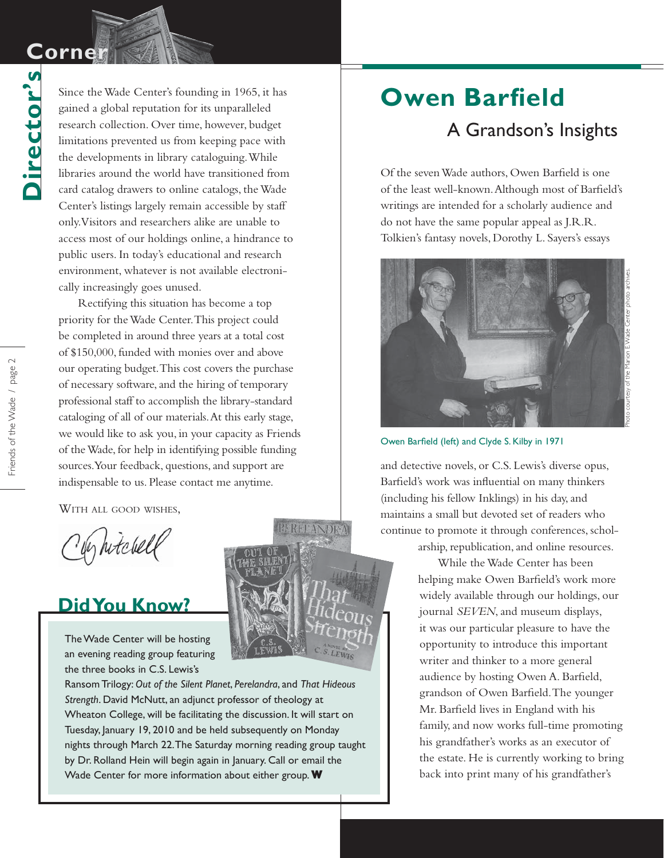**Director's**

Director's

Since the Wade Center's founding in 1965, it has gained a global reputation for its unparalleled research collection. Over time, however, budget limitations prevented us from keeping pace with the developments in library cataloguing. While libraries around the world have transitioned from card catalog drawers to online catalogs, the Wade Center's listings largely remain accessible by staff only. Visitors and researchers alike are unable to access most of our holdings online, a hindrance to public users. In today's educational and research environment, whatever is not available electronically increasingly goes unused.

Rectifying this situation has become a top priority for the Wade Center. This project could be completed in around three years at a total cost of \$150,000, funded with monies over and above our operating budget. This cost covers the purchase of necessary software, and the hiring of temporary professional staff to accomplish the library-standard cataloging of all of our materials. At this early stage, we would like to ask you, in your capacity as Friends of the Wade, for help in identifying possible funding sources. Your feedback, questions, and support are indispensable to us. Please contact me anytime.

WITH ALL GOOD WISHES,

y hitchell

### **Did You Know?**

The Wade Center will be hosting an evening reading group featuring the three books in C.S. Lewis's

Ransom Trilogy: *Out of the Silent Planet*, *Perelandra*, and *That Hideous Strength*. David McNutt, an adjunct professor of theology at Wheaton College, will be facilitating the discussion. It will start on Tuesday, January 19, 2010 and be held subsequently on Monday nights through March 22. The Saturday morning reading group taught by Dr. Rolland Hein will begin again in January. Call or email the Wade Center for more information about either group. **W**

# **Owen Barfield** A Grandson's Insights

Of the seven Wade authors, Owen Barfield is one of the least well-known. Although most of Barfield's writings are intended for a scholarly audience and do not have the same popular appeal as J.R.R. Tolkien's fantasy novels, Dorothy L. Sayers's essays



Owen Barfield (left) and Clyde S. Kilby in 1971

and detective novels, or C.S. Lewis's diverse opus, Barfield's work was influential on many thinkers (including his fellow Inklings) in his day, and maintains a small but devoted set of readers who continue to promote it through conferences, schol-

arship, republication, and online resources.

While the Wade Center has been helping make Owen Barfield's work more widely available through our holdings, our journal *SEVEN*, and museum displays, it was our particular pleasure to have the opportunity to introduce this important writer and thinker to a more general audience by hosting Owen A. Barfield, grandson of Owen Barfield. The younger Mr. Barfield lives in England with his family, and now works full-time promoting his grandfather's works as an executor of the estate. He is currently working to bring back into print many of his grandfather's

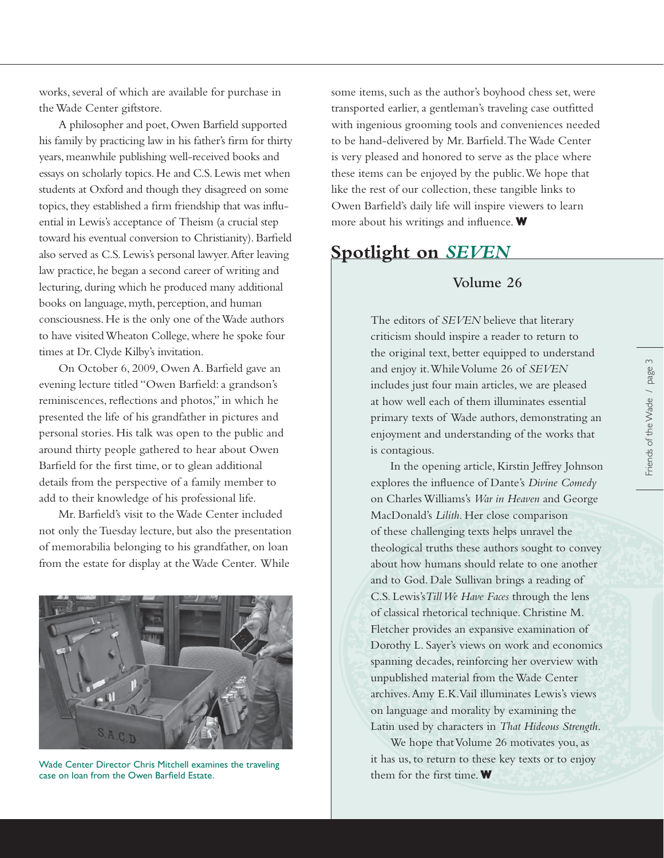works, several of which are available for purchase in the Wade Center giftstore.

A philosopher and poet, Owen Barfield supported his family by practicing law in his father's firm for thirty years, meanwhile publishing well-received books and essays on scholarly topics. He and C.S. Lewis met when students at Oxford and though they disagreed on some topics, they established a firm friendship that was influential in Lewis's acceptance of Theism (a crucial step toward his eventual conversion to Christianity). Barfield also served as C.S. Lewis's personal lawyer. After leaving law practice, he began a second career of writing and lecturing, during which he produced many additional books on language, myth, perception, and human consciousness. He is the only one of the Wade authors to have visited Wheaton College, where he spoke four times at Dr. Clyde Kilby's invitation.

On October 6, 2009, Owen A. Barfield gave an evening lecture titled "Owen Barfield: a grandson's reminiscences, reflections and photos," in which he presented the life of his grandfather in pictures and personal stories. His talk was open to the public and around thirty people gathered to hear about Owen Barfield for the first time, or to glean additional details from the perspective of a family member to add to their knowledge of his professional life.

Mr. Barfield's visit to the Wade Center included not only the Tuesday lecture, but also the presentation of memorabilia belonging to his grandfather, on loan from the estate for display at the Wade Center. While



Wade Center Director Chris Mitchell examines the traveling case on loan from the Owen Barfield Estate.

some items, such as the author's boyhood chess set, were transported earlier, a gentleman's traveling case outfitted with ingenious grooming tools and conveniences needed to be hand-delivered by Mr. Barfield. The Wade Center is very pleased and honored to serve as the place where these items can be enjoyed by the public. We hope that like the rest of our collection, these tangible links to Owen Barfield's daily life will inspire viewers to learn more about his writings and influence. **W** 

#### **Spotlight on** *SEVEN*

#### **Volume 26**

The editors of *SEVEN* believe that literary criticism should inspire a reader to return to the original text, better equipped to understand and enjoy it. While Volume 26 of *SEVEN* includes just four main articles, we are pleased at how well each of them illuminates essential primary texts of Wade authors, demonstrating an enjoyment and understanding of the works that is contagious.

In the opening article, Kirstin Jeffrey Johnson explores the influence of Dante's *Divine Comedy* on Charles Williams's *War in Heaven* and George MacDonald's *Lilith*. Her close comparison of these challenging texts helps unravel the theological truths these authors sought to convey about how humans should relate to one another and to God. Dale Sullivan brings a reading of C.S. Lewis's*Till We Have Faces* through the lens of classical rhetorical technique. Christine M. Fletcher provides an expansive examination of Dorothy L. Sayer's views on work and economics spanning decades, reinforcing her overview with unpublished material from the Wade Center archives. Amy E.K. Vail illuminates Lewis's views on language and morality by examining the Latin used by characters in *That Hideous Strength*.

We hope that Volume 26 motivates you, as it has us, to return to these key texts or to enjoy them for the first time. W